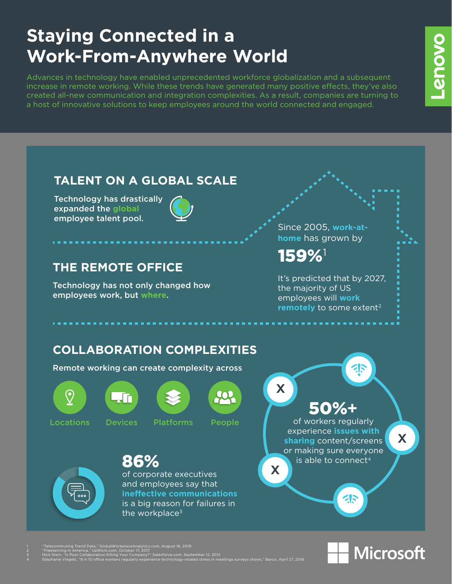## **Staying Connected in a Work-From-Anywhere World**

Advances in technology have enabled unprecedented workforce globalization and a subsequent increase in remote working. While these trends have generated many positive effects, they've also created all-new communication and integration complexities. As a result, companies are turning to a host of innovative solutions to keep employees around the world connected and engaged.





**Provo** 

- 2 "Freelancing In America," UpWork.com, October 17, 2017
- $\overline{3}$  n, September 12, 2012 4 Stephanie Vlegels, "9 in 10 office workers regularly experience technology-related stress in meetings surveys shows," Barco, April 27, 2016